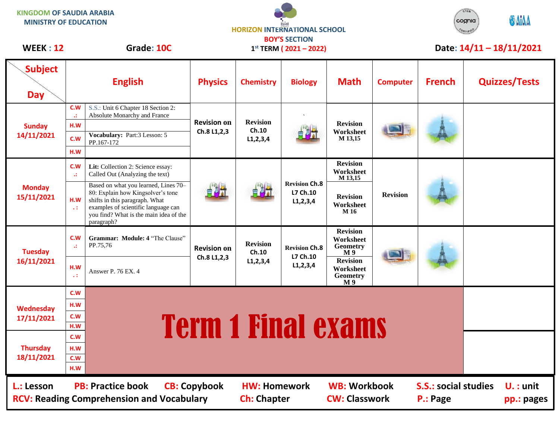| <b>KINGDOM OF SAUDIA ARABIA</b><br><b>MINISTRY OF EDUCATION</b> |                 |                                                                                                                                                                                                            | <b>HORIZON INTERNATIONAL SCHOOL</b><br><b>BOY'S SECTION</b> |                                         |                                                 |                                                                   |                 | STEM<br><b>ODAIAA</b><br>cognia<br>CERTIFIED<br>Date: $14/11 - 18/11/2021$ |  |                      |
|-----------------------------------------------------------------|-----------------|------------------------------------------------------------------------------------------------------------------------------------------------------------------------------------------------------------|-------------------------------------------------------------|-----------------------------------------|-------------------------------------------------|-------------------------------------------------------------------|-----------------|----------------------------------------------------------------------------|--|----------------------|
| <b>WEEK: 12</b>                                                 |                 | Grade: 10C                                                                                                                                                                                                 |                                                             |                                         | $1^{st}$ TERM (2021 - 2022)                     |                                                                   |                 |                                                                            |  |                      |
| <b>Subject</b><br><b>Day</b>                                    |                 | <b>English</b>                                                                                                                                                                                             | <b>Physics</b>                                              | <b>Chemistry</b>                        | <b>Biology</b>                                  | <b>Math</b>                                                       | <b>Computer</b> | <b>French</b>                                                              |  | <b>Quizzes/Tests</b> |
| <b>Sunday</b><br>14/11/2021                                     | C.W<br>A.       | S.S.: Unit 6 Chapter 18 Section 2:<br>Absolute Monarchy and France                                                                                                                                         | <b>Revision on</b><br>Ch.8 L1,2,3                           | <b>Revision</b><br>Ch.10<br>L1, 2, 3, 4 |                                                 | <b>Revision</b><br>Worksheet<br>M 13,15                           |                 |                                                                            |  |                      |
|                                                                 | H.W<br>C.W      | Vocabulary: Part:3 Lesson: 5<br>PP.167-172                                                                                                                                                                 |                                                             |                                         |                                                 |                                                                   |                 |                                                                            |  |                      |
|                                                                 | H.W             |                                                                                                                                                                                                            |                                                             |                                         |                                                 |                                                                   |                 |                                                                            |  |                      |
| <b>Monday</b><br>15/11/2021                                     | C.W<br>A.       | Lit: Collection 2: Science essay:<br>Called Out (Analyzing the text)                                                                                                                                       |                                                             |                                         | <b>Revision Ch.8</b><br>L7 Ch.10<br>L1, 2, 3, 4 | <b>Revision</b><br>Worksheet<br>M 13,15                           | <b>Revision</b> |                                                                            |  |                      |
|                                                                 | H.W<br>$\sim 1$ | Based on what you learned, Lines 70-<br>80: Explain how Kingsolver's tone<br>shifts in this paragraph. What<br>examples of scientific language can<br>you find? What is the main idea of the<br>paragraph? |                                                             |                                         |                                                 | <b>Revision</b><br>Worksheet<br>M 16                              |                 |                                                                            |  |                      |
| <b>Tuesday</b><br>16/11/2021                                    | C.W<br>w        | Grammar: Module: 4 "The Clause"<br>PP.75,76                                                                                                                                                                | <b>Revision on</b><br>Ch.8 L1,2,3                           | <b>Revision</b><br>Ch.10<br>L1, 2, 3, 4 | <b>Revision Ch.8</b><br>L7 Ch.10<br>L1, 2, 3, 4 | <b>Revision</b><br>Worksheet<br><b>Geometry</b><br>M <sub>9</sub> |                 |                                                                            |  |                      |
|                                                                 | H.W<br>ч÷       | Answer P. 76 EX. 4                                                                                                                                                                                         |                                                             |                                         |                                                 | <b>Revision</b><br>Worksheet<br>Geometry<br>M 9                   |                 |                                                                            |  |                      |
| Wednesday<br>17/11/2021                                         | C.W             |                                                                                                                                                                                                            |                                                             |                                         |                                                 |                                                                   |                 |                                                                            |  |                      |
|                                                                 | H.W             |                                                                                                                                                                                                            |                                                             |                                         |                                                 |                                                                   |                 |                                                                            |  |                      |
|                                                                 | C.W             | <b>Term 1 Final exams</b>                                                                                                                                                                                  |                                                             |                                         |                                                 |                                                                   |                 |                                                                            |  |                      |
|                                                                 | H.W             |                                                                                                                                                                                                            |                                                             |                                         |                                                 |                                                                   |                 |                                                                            |  |                      |
| <b>Thursday</b><br>18/11/2021                                   | C.W<br>H.W      |                                                                                                                                                                                                            |                                                             |                                         |                                                 |                                                                   |                 |                                                                            |  |                      |
|                                                                 | C.W             |                                                                                                                                                                                                            |                                                             |                                         |                                                 |                                                                   |                 |                                                                            |  |                      |
|                                                                 | H.W             |                                                                                                                                                                                                            |                                                             |                                         |                                                 |                                                                   |                 |                                                                            |  |                      |
| L.: Lesson                                                      |                 | <b>PB: Practice book</b>                                                                                                                                                                                   | <b>CB: Copybook</b>                                         | <b>HW: Homework</b>                     |                                                 | <b>WB: Workbook</b>                                               |                 | <b>S.S.: social studies</b>                                                |  | $U.$ : unit          |

 $\overline{\phantom{a}}$ 

RCV: Reading Comprehension and Vocabulary **Ch: Chapter CW: Classwork P.: Page pp.: pages**